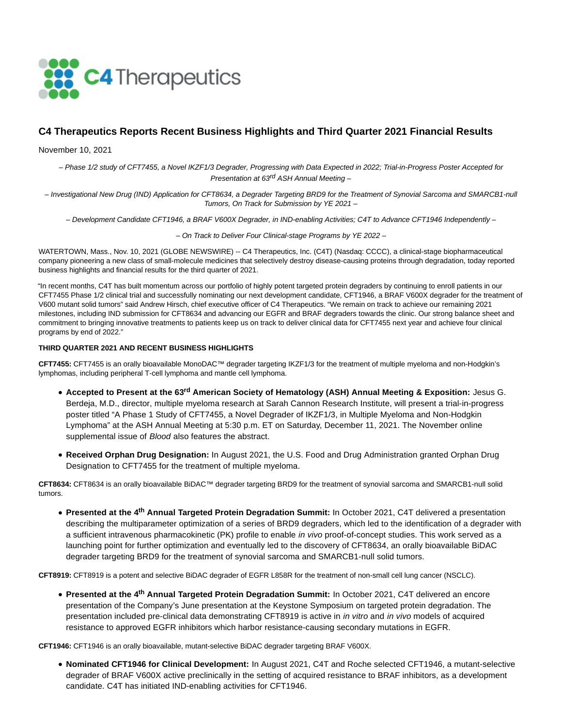

# **C4 Therapeutics Reports Recent Business Highlights and Third Quarter 2021 Financial Results**

November 10, 2021

– Phase 1/2 study of CFT7455, a Novel IKZF1/3 Degrader, Progressing with Data Expected in 2022; Trial-in-Progress Poster Accepted for Presentation at 63<sup>rd</sup> ASH Annual Meeting -

– Investigational New Drug (IND) Application for CFT8634, a Degrader Targeting BRD9 for the Treatment of Synovial Sarcoma and SMARCB1-null Tumors, On Track for Submission by YE 2021 –

– Development Candidate CFT1946, a BRAF V600X Degrader, in IND-enabling Activities; C4T to Advance CFT1946 Independently –

– On Track to Deliver Four Clinical-stage Programs by YE 2022 –

WATERTOWN, Mass., Nov. 10, 2021 (GLOBE NEWSWIRE) -- C4 Therapeutics, Inc. (C4T) (Nasdaq: CCCC), a clinical-stage biopharmaceutical company pioneering a new class of small-molecule medicines that selectively destroy disease-causing proteins through degradation, today reported business highlights and financial results for the third quarter of 2021.

"In recent months, C4T has built momentum across our portfolio of highly potent targeted protein degraders by continuing to enroll patients in our CFT7455 Phase 1/2 clinical trial and successfully nominating our next development candidate, CFT1946, a BRAF V600X degrader for the treatment of V600 mutant solid tumors" said Andrew Hirsch, chief executive officer of C4 Therapeutics. "We remain on track to achieve our remaining 2021 milestones, including IND submission for CFT8634 and advancing our EGFR and BRAF degraders towards the clinic. Our strong balance sheet and commitment to bringing innovative treatments to patients keep us on track to deliver clinical data for CFT7455 next year and achieve four clinical programs by end of 2022."

# **THIRD QUARTER 2021 AND RECENT BUSINESS HIGHLIGHTS**

**CFT7455:** CFT7455 is an orally bioavailable MonoDAC™ degrader targeting IKZF1/3 for the treatment of multiple myeloma and non-Hodgkin's lymphomas, including peripheral T-cell lymphoma and mantle cell lymphoma.

- **Accepted to Present at the 63rd American Society of Hematology (ASH) Annual Meeting & Exposition:** Jesus G. Berdeja, M.D., director, multiple myeloma research at Sarah Cannon Research Institute, will present a trial-in-progress poster titled "A Phase 1 Study of CFT7455, a Novel Degrader of IKZF1/3, in Multiple Myeloma and Non-Hodgkin Lymphoma" at the ASH Annual Meeting at 5:30 p.m. ET on Saturday, December 11, 2021. The November online supplemental issue of *Blood* also features the abstract.
- **Received Orphan Drug Designation:** In August 2021, the U.S. Food and Drug Administration granted Orphan Drug Designation to CFT7455 for the treatment of multiple myeloma.

**CFT8634:** CFT8634 is an orally bioavailable BiDAC™ degrader targeting BRD9 for the treatment of synovial sarcoma and SMARCB1-null solid tumors.

**Presented at the 4th Annual Targeted Protein Degradation Summit:** In October 2021, C4T delivered a presentation describing the multiparameter optimization of a series of BRD9 degraders, which led to the identification of a degrader with a sufficient intravenous pharmacokinetic (PK) profile to enable in vivo proof-of-concept studies. This work served as a launching point for further optimization and eventually led to the discovery of CFT8634, an orally bioavailable BiDAC degrader targeting BRD9 for the treatment of synovial sarcoma and SMARCB1-null solid tumors.

**CFT8919:** CFT8919 is a potent and selective BiDAC degrader of EGFR L858R for the treatment of non-small cell lung cancer (NSCLC).

**Presented at the 4th Annual Targeted Protein Degradation Summit:** In October 2021, C4T delivered an encore presentation of the Company's June presentation at the Keystone Symposium on targeted protein degradation. The presentation included pre-clinical data demonstrating CFT8919 is active in in vitro and in vivo models of acquired resistance to approved EGFR inhibitors which harbor resistance-causing secondary mutations in EGFR.

**CFT1946:** CFT1946 is an orally bioavailable, mutant-selective BiDAC degrader targeting BRAF V600X.

**Nominated CFT1946 for Clinical Development:** In August 2021, C4T and Roche selected CFT1946, a mutant-selective degrader of BRAF V600X active preclinically in the setting of acquired resistance to BRAF inhibitors, as a development candidate. C4T has initiated IND-enabling activities for CFT1946.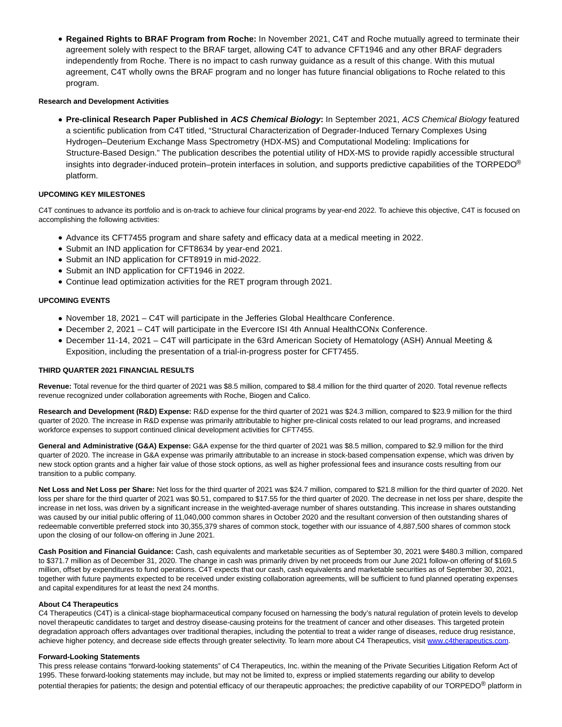**Regained Rights to BRAF Program from Roche:** In November 2021, C4T and Roche mutually agreed to terminate their agreement solely with respect to the BRAF target, allowing C4T to advance CFT1946 and any other BRAF degraders independently from Roche. There is no impact to cash runway guidance as a result of this change. With this mutual agreement, C4T wholly owns the BRAF program and no longer has future financial obligations to Roche related to this program.

### **Research and Development Activities**

**Pre-clinical Research Paper Published in ACS Chemical Biology:** In September 2021, ACS Chemical Biology featured a scientific publication from C4T titled, "Structural Characterization of Degrader-Induced Ternary Complexes Using Hydrogen–Deuterium Exchange Mass Spectrometry (HDX-MS) and Computational Modeling: Implications for Structure-Based Design." The publication describes the potential utility of HDX-MS to provide rapidly accessible structural insights into degrader-induced protein–protein interfaces in solution, and supports predictive capabilities of the TORPEDO<sup>®</sup> platform.

### **UPCOMING KEY MILESTONES**

C4T continues to advance its portfolio and is on-track to achieve four clinical programs by year-end 2022. To achieve this objective, C4T is focused on accomplishing the following activities:

- Advance its CFT7455 program and share safety and efficacy data at a medical meeting in 2022.
- Submit an IND application for CFT8634 by year-end 2021.
- Submit an IND application for CFT8919 in mid-2022.
- Submit an IND application for CFT1946 in 2022.
- Continue lead optimization activities for the RET program through 2021.

### **UPCOMING EVENTS**

- November 18, 2021 C4T will participate in the Jefferies Global Healthcare Conference.
- December 2, 2021 C4T will participate in the Evercore ISI 4th Annual HealthCONx Conference.
- December 11-14, 2021 C4T will participate in the 63rd American Society of Hematology (ASH) Annual Meeting & Exposition, including the presentation of a trial-in-progress poster for CFT7455.

### **THIRD QUARTER 2021 FINANCIAL RESULTS**

**Revenue:** Total revenue for the third quarter of 2021 was \$8.5 million, compared to \$8.4 million for the third quarter of 2020. Total revenue reflects revenue recognized under collaboration agreements with Roche, Biogen and Calico.

**Research and Development (R&D) Expense:** R&D expense for the third quarter of 2021 was \$24.3 million, compared to \$23.9 million for the third quarter of 2020. The increase in R&D expense was primarily attributable to higher pre-clinical costs related to our lead programs, and increased workforce expenses to support continued clinical development activities for CFT7455.

General and Administrative (G&A) Expense: G&A expense for the third quarter of 2021 was \$8.5 million, compared to \$2.9 million for the third quarter of 2020. The increase in G&A expense was primarily attributable to an increase in stock-based compensation expense, which was driven by new stock option grants and a higher fair value of those stock options, as well as higher professional fees and insurance costs resulting from our transition to a public company.

**Net Loss and Net Loss per Share:** Net loss for the third quarter of 2021 was \$24.7 million, compared to \$21.8 million for the third quarter of 2020. Net loss per share for the third quarter of 2021 was \$0.51, compared to \$17.55 for the third quarter of 2020. The decrease in net loss per share, despite the increase in net loss, was driven by a significant increase in the weighted-average number of shares outstanding. This increase in shares outstanding was caused by our initial public offering of 11,040,000 common shares in October 2020 and the resultant conversion of then outstanding shares of redeemable convertible preferred stock into 30,355,379 shares of common stock, together with our issuance of 4,887,500 shares of common stock upon the closing of our follow-on offering in June 2021.

**Cash Position and Financial Guidance:** Cash, cash equivalents and marketable securities as of September 30, 2021 were \$480.3 million, compared to \$371.7 million as of December 31, 2020. The change in cash was primarily driven by net proceeds from our June 2021 follow-on offering of \$169.5 million, offset by expenditures to fund operations. C4T expects that our cash, cash equivalents and marketable securities as of September 30, 2021, together with future payments expected to be received under existing collaboration agreements, will be sufficient to fund planned operating expenses and capital expenditures for at least the next 24 months.

#### **About C4 Therapeutics**

C4 Therapeutics (C4T) is a clinical-stage biopharmaceutical company focused on harnessing the body's natural regulation of protein levels to develop novel therapeutic candidates to target and destroy disease-causing proteins for the treatment of cancer and other diseases. This targeted protein degradation approach offers advantages over traditional therapies, including the potential to treat a wider range of diseases, reduce drug resistance, achieve higher potency, and decrease side effects through greater selectivity. To learn more about C4 Therapeutics, visit [www.c4therapeutics.com.](https://www.globenewswire.com/Tracker?data=27_v0ZE0yuX_Q7GG4O-ee9Ryb8lFNQWhHS_KCjuPdFd5clg_y6SoWwLyC7fIUGNbpxxHHzdzA-TQs1bqG2pABAS6rBOH0rPPbTyINGJSvCk=)

### **Forward-Looking Statements**

This press release contains "forward-looking statements" of C4 Therapeutics, Inc. within the meaning of the Private Securities Litigation Reform Act of 1995. These forward-looking statements may include, but may not be limited to, express or implied statements regarding our ability to develop potential therapies for patients; the design and potential efficacy of our therapeutic approaches; the predictive capability of our TORPEDO<sup>®</sup> platform in